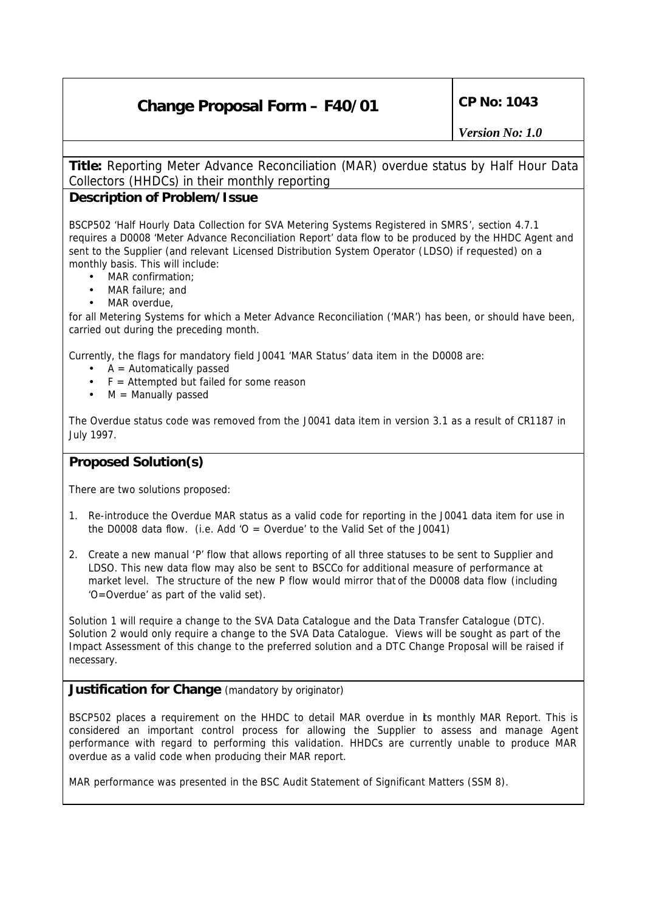## **Change Proposal Form – F40/01 CP No: 1043**

**Title:** Reporting Meter Advance Reconciliation (MAR) overdue status by Half Hour Data Collectors (HHDCs) in their monthly reporting

## **Description of Problem/Issue**

BSCP502 'Half Hourly Data Collection for SVA Metering Systems Registered in SMRS', section 4.7.1 requires a D0008 'Meter Advance Reconciliation Report' data flow to be produced by the HHDC Agent and sent to the Supplier (and relevant Licensed Distribution System Operator (LDSO) if requested) on a monthly basis. This will include:

- MAR confirmation:
- MAR failure; and
- MAR overdue.

for all Metering Systems for which a Meter Advance Reconciliation ('MAR') has been, or should have been, carried out during the preceding month.

Currently, the flags for mandatory field J0041 'MAR Status' data item in the D0008 are:

- $\bullet$  A = Automatically passed
- $\bullet$   $F =$  Attempted but failed for some reason
- $\bullet$  M = Manually passed

The Overdue status code was removed from the J0041 data item in version 3.1 as a result of CR1187 in July 1997.

## **Proposed Solution(s)**

There are two solutions proposed:

- 1. Re-introduce the Overdue MAR status as a valid code for reporting in the J0041 data item for use in the D0008 data flow. (i.e. Add 'O = Overdue' to the Valid Set of the J0041)
- 2. Create a new manual 'P' flow that allows reporting of all three statuses to be sent to Supplier and LDSO. This new data flow may also be sent to BSCCo for additional measure of performance at market level. The structure of the new P flow would mirror that of the D0008 data flow (including 'O=Overdue' as part of the valid set).

Solution 1 will require a change to the SVA Data Catalogue and the Data Transfer Catalogue (DTC). Solution 2 would only require a change to the SVA Data Catalogue. Views will be sought as part of the Impact Assessment of this change to the preferred solution and a DTC Change Proposal will be raised if necessary.

## **Justification for Change** *(mandatory by originator)*

BSCP502 places a requirement on the HHDC to detail MAR overdue in its monthly MAR Report. This is considered an important control process for allowing the Supplier to assess and manage Agent performance with regard to performing this validation. HHDCs are currently unable to produce MAR overdue as a valid code when producing their MAR report.

MAR performance was presented in the BSC Audit Statement of Significant Matters (SSM 8).